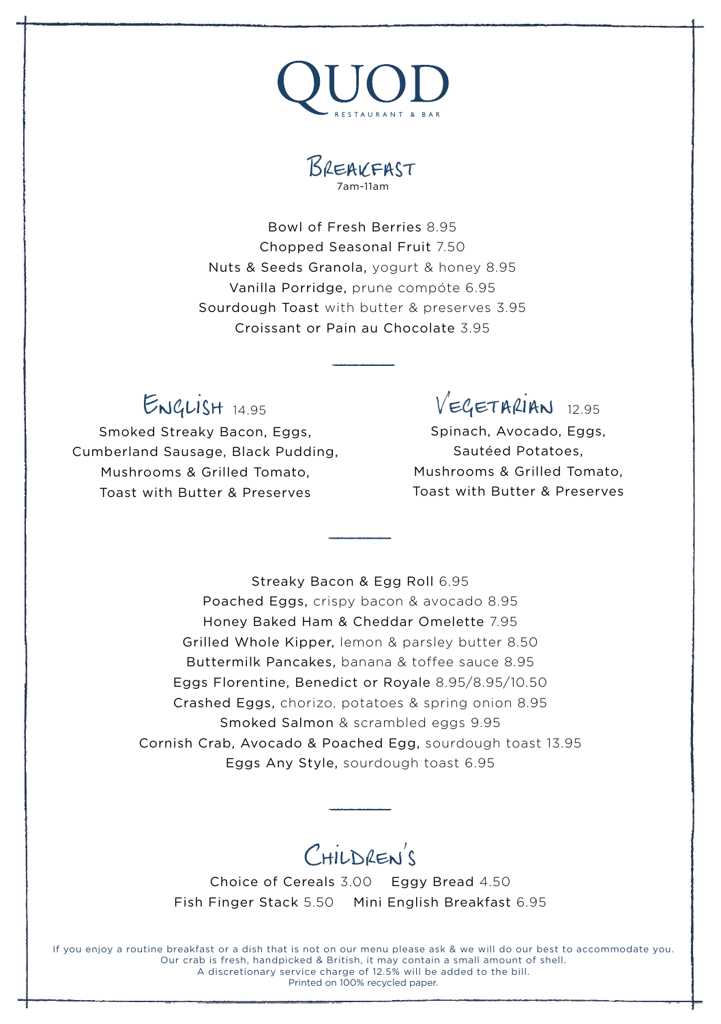



Bowl of Fresh Berries 8.95 Chopped Seasonal Fruit 7.50 Nuts & Seeds Granola, yogurt & honey 8.95 Vanilla Porridge, prune compóte 6.95 Sourdough Toast with butter & preserves 3.95 Croissant or Pain au Chocolate 3.95

#### English 14.95

Smoked Streaky Bacon, Eggs, Cumberland Sausage, Black Pudding, Mushrooms & Grilled Tomato, Toast with Butter & Preserves

 $V = G E T A R I A N$  12.95

Spinach, Avocado, Eggs, Sautéed Potatoes, Mushrooms & Grilled Tomato, Toast with Butter & Preserves

Streaky Bacon & Egg Roll 6.95 Poached Eggs, crispy bacon & avocado 8.95 Honey Baked Ham & Cheddar Omelette 7.95 Grilled Whole Kipper, lemon & parsley butter 8.50 Buttermilk Pancakes, banana & toffee sauce 8.95 Eggs Florentine, Benedict or Royale 8.95/8.95/10.50 Crashed Eggs, chorizo, potatoes & spring onion 8.95 Smoked Salmon & scrambled eggs 9.95 Cornish Crab, Avocado & Poached Egg, sourdough toast 13.95 Eggs Any Style, sourdough toast 6.95

# CHILDREN'S

Choice of Cereals 3.00 Eggy Bread 4.50 Fish Finger Stack 5.50 Mini English Breakfast 6.95

If you enjoy a routine breakfast or a dish that is not on our menu please ask & we will do our best to accommodate you. Our crab is fresh, handpicked & British, it may contain a small amount of shell. A discretionary service charge of 12.5% will be added to the bill. Printed on 100% recycled paper.